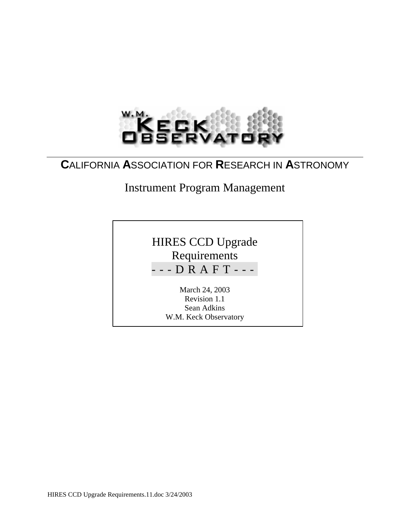

# **C**ALIFORNIA **A**SSOCIATION FOR **R**ESEARCH IN **A**STRONOMY

# Instrument Program Management

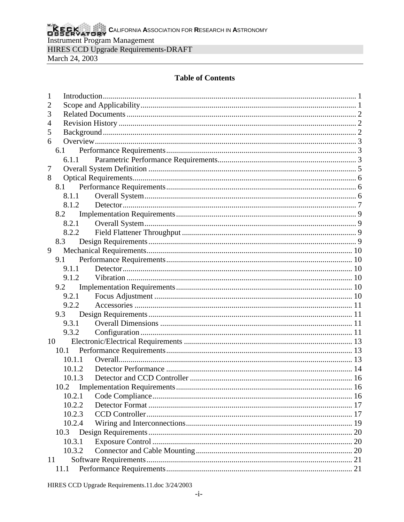# **Table of Contents**

| 1      |  |
|--------|--|
| 2      |  |
| 3      |  |
| 4      |  |
| 5      |  |
| 6      |  |
| 6.1    |  |
| 6.1.1  |  |
| 7      |  |
| 8      |  |
| 8.1    |  |
| 8.1.1  |  |
| 8.1.2  |  |
| 8.2    |  |
| 8.2.1  |  |
| 8.2.2  |  |
| 8.3    |  |
| 9      |  |
| 9.1    |  |
| 9.1.1  |  |
| 9.1.2  |  |
| 9.2    |  |
|        |  |
| 9.2.2  |  |
| 9.3    |  |
| 9.3.1  |  |
| 9.3.2  |  |
| 10     |  |
| 10.1   |  |
| 10.1.1 |  |
| 10.1.2 |  |
| 10.1.3 |  |
|        |  |
| 10.2.1 |  |
| 10.2.2 |  |
| 10.2.3 |  |
| 10.2.4 |  |
|        |  |
| 10.3.1 |  |
| 10.3.2 |  |
| 11     |  |
| 11.1   |  |

HIRES CCD Upgrade Requirements.11.doc 3/24/2003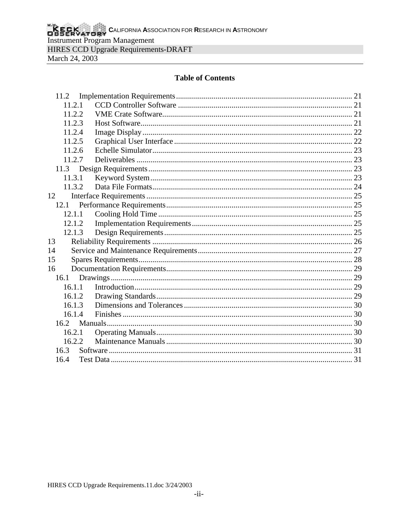# **Table of Contents**

| 11.2              |  |
|-------------------|--|
| 11.2.1            |  |
| 11.2.2            |  |
| 11.2.3            |  |
| 11.2.4            |  |
| 11.2.5            |  |
| 11.2.6            |  |
| 11.2.7            |  |
| 11.3              |  |
| 11.3.1            |  |
| 11.3.2            |  |
| 12                |  |
| 12.1              |  |
| 12.1.1            |  |
| 12.1.2            |  |
| 12.1.3            |  |
| 13                |  |
| 14                |  |
| 15                |  |
| 16                |  |
| 16.1              |  |
| 16.1.1            |  |
| 16.1.2            |  |
| 16.1.3            |  |
| 16.1.4            |  |
| 16.2 <sub>1</sub> |  |
| 16.2.1            |  |
| 16.2.2            |  |
| 16.3              |  |
| 16.4              |  |
|                   |  |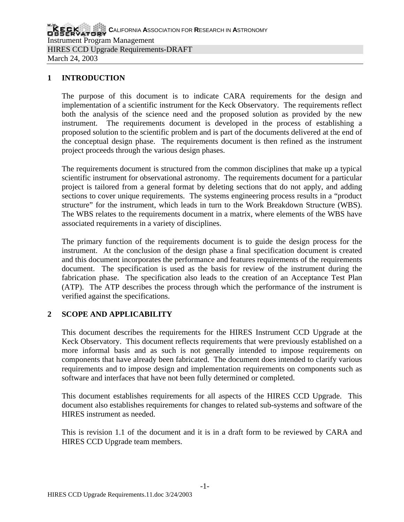# **1 INTRODUCTION**

The purpose of this document is to indicate CARA requirements for the design and implementation of a scientific instrument for the Keck Observatory. The requirements reflect both the analysis of the science need and the proposed solution as provided by the new instrument. The requirements document is developed in the process of establishing a proposed solution to the scientific problem and is part of the documents delivered at the end of the conceptual design phase. The requirements document is then refined as the instrument project proceeds through the various design phases.

The requirements document is structured from the common disciplines that make up a typical scientific instrument for observational astronomy. The requirements document for a particular project is tailored from a general format by deleting sections that do not apply, and adding sections to cover unique requirements. The systems engineering process results in a "product structure" for the instrument, which leads in turn to the Work Breakdown Structure (WBS). The WBS relates to the requirements document in a matrix, where elements of the WBS have associated requirements in a variety of disciplines.

The primary function of the requirements document is to guide the design process for the instrument. At the conclusion of the design phase a final specification document is created and this document incorporates the performance and features requirements of the requirements document. The specification is used as the basis for review of the instrument during the fabrication phase. The specification also leads to the creation of an Acceptance Test Plan (ATP). The ATP describes the process through which the performance of the instrument is verified against the specifications.

## **2 SCOPE AND APPLICABILITY**

This document describes the requirements for the HIRES Instrument CCD Upgrade at the Keck Observatory. This document reflects requirements that were previously established on a more informal basis and as such is not generally intended to impose requirements on components that have already been fabricated. The document does intended to clarify various requirements and to impose design and implementation requirements on components such as software and interfaces that have not been fully determined or completed.

This document establishes requirements for all aspects of the HIRES CCD Upgrade. This document also establishes requirements for changes to related sub-systems and software of the HIRES instrument as needed.

This is revision 1.1 of the document and it is in a draft form to be reviewed by CARA and HIRES CCD Upgrade team members.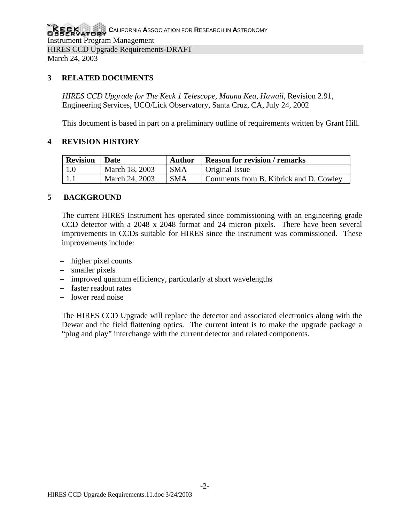# **3 RELATED DOCUMENTS**

*HIRES CCD Upgrade for The Keck 1 Telescope, Mauna Kea, Hawaii*, Revision 2.91, Engineering Services, UCO/Lick Observatory, Santa Cruz, CA, July 24, 2002

This document is based in part on a preliminary outline of requirements written by Grant Hill.

## **4 REVISION HISTORY**

| <b>Revision</b> | <sup>1</sup> Date<br>Author |            | <b>Reason for revision / remarks</b>   |  |  |
|-----------------|-----------------------------|------------|----------------------------------------|--|--|
| 1.0             | March 18, 2003              | <b>SMA</b> | Original Issue                         |  |  |
|                 | March 24, 2003              | <b>SMA</b> | Comments from B. Kibrick and D. Cowley |  |  |

## **5 BACKGROUND**

The current HIRES Instrument has operated since commissioning with an engineering grade CCD detector with a 2048 x 2048 format and 24 micron pixels. There have been several improvements in CCDs suitable for HIRES since the instrument was commissioned. These improvements include:

- − higher pixel counts
- − smaller pixels
- − improved quantum efficiency, particularly at short wavelengths
- − faster readout rates
- − lower read noise

The HIRES CCD Upgrade will replace the detector and associated electronics along with the Dewar and the field flattening optics. The current intent is to make the upgrade package a "plug and play" interchange with the current detector and related components.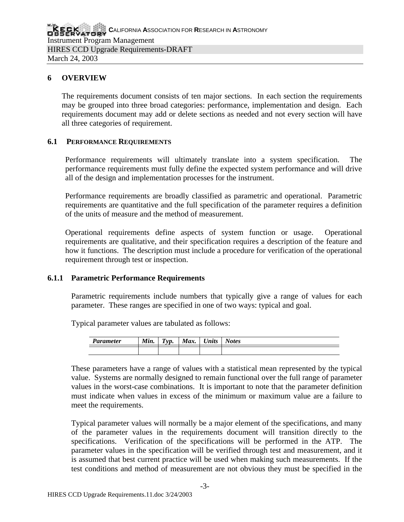# **6 OVERVIEW**

The requirements document consists of ten major sections. In each section the requirements may be grouped into three broad categories: performance, implementation and design. Each requirements document may add or delete sections as needed and not every section will have all three categories of requirement.

## **6.1 PERFORMANCE REQUIREMENTS**

Performance requirements will ultimately translate into a system specification. The performance requirements must fully define the expected system performance and will drive all of the design and implementation processes for the instrument.

Performance requirements are broadly classified as parametric and operational. Parametric requirements are quantitative and the full specification of the parameter requires a definition of the units of measure and the method of measurement.

Operational requirements define aspects of system function or usage. Operational requirements are qualitative, and their specification requires a description of the feature and how it functions. The description must include a procedure for verification of the operational requirement through test or inspection.

## **6.1.1 Parametric Performance Requirements**

Parametric requirements include numbers that typically give a range of values for each parameter. These ranges are specified in one of two ways: typical and goal.

Typical parameter values are tabulated as follows:

| m<br>Parameter | $\mathbf{r}$<br>Mın. | $\sim$<br>`\) <i>n</i><br>.<br>- | Max. | nits | otes |
|----------------|----------------------|----------------------------------|------|------|------|
|                |                      |                                  |      |      |      |

These parameters have a range of values with a statistical mean represented by the typical value. Systems are normally designed to remain functional over the full range of parameter values in the worst-case combinations. It is important to note that the parameter definition must indicate when values in excess of the minimum or maximum value are a failure to meet the requirements.

Typical parameter values will normally be a major element of the specifications, and many of the parameter values in the requirements document will transition directly to the specifications. Verification of the specifications will be performed in the ATP. The parameter values in the specification will be verified through test and measurement, and it is assumed that best current practice will be used when making such measurements. If the test conditions and method of measurement are not obvious they must be specified in the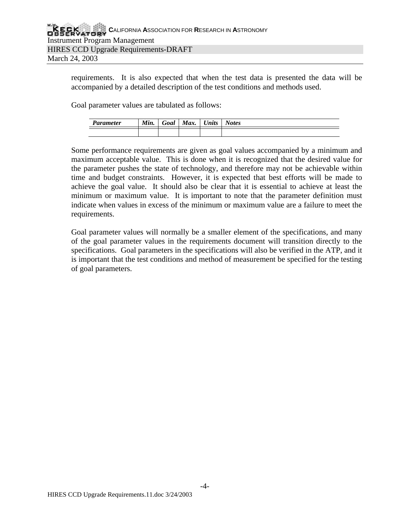requirements. It is also expected that when the test data is presented the data will be accompanied by a detailed description of the test conditions and methods used.

Goal parameter values are tabulated as follows:

| <b>Parameter</b> | Min. | -<br>ooal | Max. | $\mathbf{v}$<br>Units | $\overline{\phantom{a}}$<br>Notes |
|------------------|------|-----------|------|-----------------------|-----------------------------------|
|                  |      |           |      |                       |                                   |

Some performance requirements are given as goal values accompanied by a minimum and maximum acceptable value. This is done when it is recognized that the desired value for the parameter pushes the state of technology, and therefore may not be achievable within time and budget constraints. However, it is expected that best efforts will be made to achieve the goal value. It should also be clear that it is essential to achieve at least the minimum or maximum value. It is important to note that the parameter definition must indicate when values in excess of the minimum or maximum value are a failure to meet the requirements.

Goal parameter values will normally be a smaller element of the specifications, and many of the goal parameter values in the requirements document will transition directly to the specifications. Goal parameters in the specifications will also be verified in the ATP, and it is important that the test conditions and method of measurement be specified for the testing of goal parameters.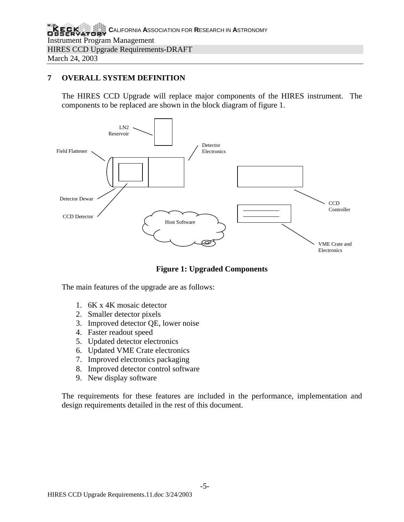# **7 OVERALL SYSTEM DEFINITION**

The HIRES CCD Upgrade will replace major components of the HIRES instrument. The components to be replaced are shown in the block diagram of figure 1.



**Figure 1: Upgraded Components**

The main features of the upgrade are as follows:

- 1. 6K x 4K mosaic detector
- 2. Smaller detector pixels
- 3. Improved detector QE, lower noise
- 4. Faster readout speed
- 5. Updated detector electronics
- 6. Updated VME Crate electronics
- 7. Improved electronics packaging
- 8. Improved detector control software
- 9. New display software

The requirements for these features are included in the performance, implementation and design requirements detailed in the rest of this document.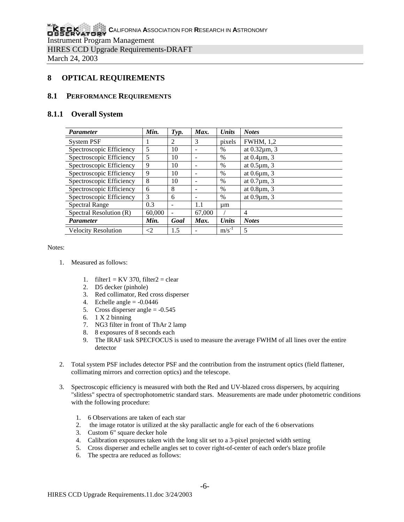## **8 OPTICAL REQUIREMENTS**

#### **8.1 PERFORMANCE REQUIREMENTS**

#### **8.1.1 Overall System**

| <b>Parameter</b>           | Min.   | Type. | Max.   | <b>Units</b> | <b>Notes</b>         |
|----------------------------|--------|-------|--------|--------------|----------------------|
| <b>System PSF</b>          |        | 2     | 3      | pixels       | <b>FWHM, 1,2</b>     |
| Spectroscopic Efficiency   | 5      | 10    | -      | $\%$         | at 0.32µm, 3         |
| Spectroscopic Efficiency   | 5      | 10    |        | $\%$         | at $0.4 \mu m$ , 3   |
| Spectroscopic Efficiency   | 9      | 10    | ۰      | $\%$         | at $0.5 \mu m$ , 3   |
| Spectroscopic Efficiency   | 9      | 10    |        | $\%$         | at $0.6 \mu m$ , $3$ |
| Spectroscopic Efficiency   | 8      | 10    | -      | $\%$         | at $0.7 \mu m$ , 3   |
| Spectroscopic Efficiency   | 6      | 8     |        | $\%$         | at $0.8\mu$ m, 3     |
| Spectroscopic Efficiency   | 3      | 6     |        | $\%$         | at $0.9 \mu m$ , $3$ |
| <b>Spectral Range</b>      | 0.3    |       | 1.1    | $\mu$ m      |                      |
| Spectral Resolution (R)    | 60,000 |       | 67,000 |              | $\overline{4}$       |
| <b>Parameter</b>           | Min.   | Goal  | Max.   | <b>Units</b> | <b>Notes</b>         |
| <b>Velocity Resolution</b> | $\leq$ | 1.5   |        | $m/s^{-1}$   | 5                    |

Notes:

- 1. Measured as follows:
	- 1. filter1 = KV 370, filter2 = clear
	- 2. D5 decker (pinhole)
	- 3. Red collimator, Red cross disperser
	- 4. Echelle angle  $= -0.0446$
	- 5. Cross disperser angle  $= -0.545$
	- 6.  $1 X 2 binning$
	- 7. NG3 filter in front of ThAr 2 lamp
	- 8. 8 exposures of 8 seconds each
	- 9. The IRAF task SPECFOCUS is used to measure the average FWHM of all lines over the entire detector
- 2. Total system PSF includes detector PSF and the contribution from the instrument optics (field flattener, collimating mirrors and correction optics) and the telescope.
- 3. Spectroscopic efficiency is measured with both the Red and UV-blazed cross dispersers, by acquiring "slitless" spectra of spectrophotometric standard stars. Measurements are made under photometric conditions with the following procedure:
	- 1. 6 Observations are taken of each star
	- 2. the image rotator is utilized at the sky parallactic angle for each of the 6 observations
	- 3. Custom 6" square decker hole
	- 4. Calibration exposures taken with the long slit set to a 3-pixel projected width setting
	- 5. Cross disperser and echelle angles set to cover right-of-center of each order's blaze profile
	- 6. The spectra are reduced as follows: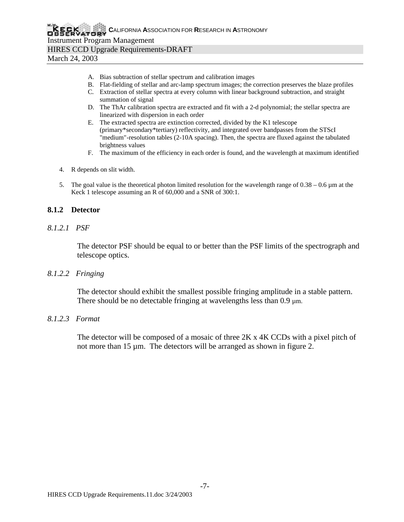- A. Bias subtraction of stellar spectrum and calibration images
- B. Flat-fielding of stellar and arc-lamp spectrum images; the correction preserves the blaze profiles
- C. Extraction of stellar spectra at every column with linear background subtraction, and straight summation of signal
- D. The ThAr calibration spectra are extracted and fit with a 2-d polynomial; the stellar spectra are linearized with dispersion in each order
- E. The extracted spectra are extinction corrected, divided by the K1 telescope (primary\*secondary\*tertiary) reflectivity, and integrated over bandpasses from the STScI "medium"-resolution tables (2-10A spacing). Then, the spectra are fluxed against the tabulated brightness values
- F. The maximum of the efficiency in each order is found, and the wavelength at maximum identified
- 4. R depends on slit width.
- 5. The goal value is the theoretical photon limited resolution for the wavelength range of  $0.38 0.6 \,\mu m$  at the Keck 1 telescope assuming an R of 60,000 and a SNR of 300:1.

#### **8.1.2 Detector**

#### *8.1.2.1 PSF*

The detector PSF should be equal to or better than the PSF limits of the spectrograph and telescope optics.

#### *8.1.2.2 Fringing*

The detector should exhibit the smallest possible fringing amplitude in a stable pattern. There should be no detectable fringing at wavelengths less than 0.9  $\mu$ m.

#### *8.1.2.3 Format*

The detector will be composed of a mosaic of three 2K x 4K CCDs with a pixel pitch of not more than  $15 \mu m$ . The detectors will be arranged as shown in figure 2.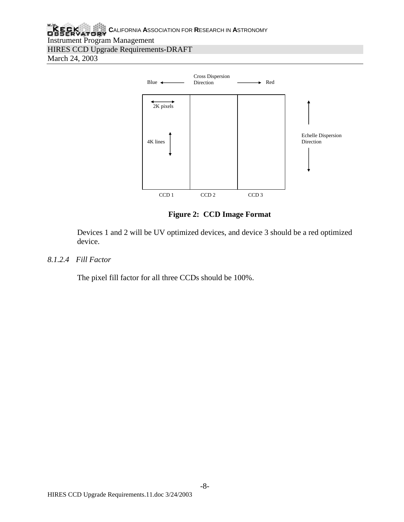

**Figure 2: CCD Image Format**

Devices 1 and 2 will be UV optimized devices, and device 3 should be a red optimized device.

*8.1.2.4 Fill Factor*

The pixel fill factor for all three CCDs should be 100%.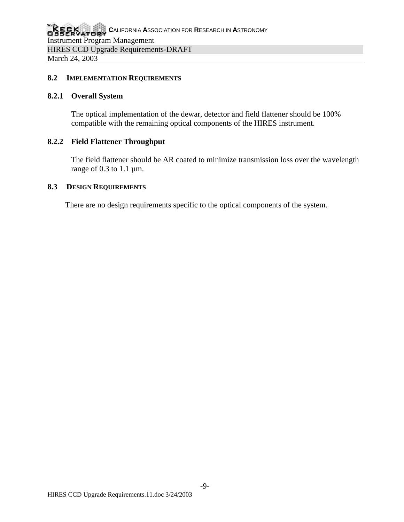#### **8.2 IMPLEMENTATION REQUIREMENTS**

#### **8.2.1 Overall System**

The optical implementation of the dewar, detector and field flattener should be 100% compatible with the remaining optical components of the HIRES instrument.

#### **8.2.2 Field Flattener Throughput**

The field flattener should be AR coated to minimize transmission loss over the wavelength range of  $0.3$  to  $1.1 \mu m$ .

#### **8.3 DESIGN REQUIREMENTS**

There are no design requirements specific to the optical components of the system.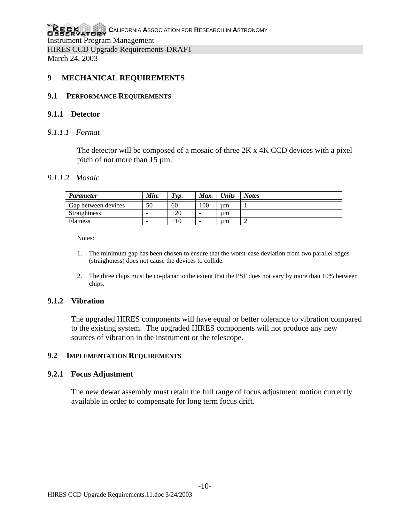## **9 MECHANICAL REQUIREMENTS**

#### **9.1 PERFORMANCE REQUIREMENTS**

#### **9.1.1 Detector**

#### *9.1.1.1 Format*

The detector will be composed of a mosaic of three 2K x 4K CCD devices with a pixel pitch of not more than 15 µm.

#### *9.1.1.2 Mosaic*

| <i>Parameter</i>    | Min.                     | $T_{\mathsf{y}p.}$ | Max.                     | <i><b>Units</b></i> | <b>Notes</b> |
|---------------------|--------------------------|--------------------|--------------------------|---------------------|--------------|
| Gap between devices | 50                       | 60                 | 100                      | um                  |              |
| Straightness        | $\overline{\phantom{a}}$ | $\pm 20$           | $\overline{\phantom{a}}$ | um                  |              |
| <b>Flatness</b>     | -                        | $\pm 10$           | -                        | um                  | ∼            |

Notes:

- 1. The minimum gap has been chosen to ensure that the worst-case deviation from two parallel edges (straightness) does not cause the devices to collide.
- 2. The three chips must be co-planar to the extent that the PSF does not vary by more than 10% between chips.

## **9.1.2 Vibration**

The upgraded HIRES components will have equal or better tolerance to vibration compared to the existing system. The upgraded HIRES components will not produce any new sources of vibration in the instrument or the telescope.

## **9.2 IMPLEMENTATION REQUIREMENTS**

#### **9.2.1 Focus Adjustment**

The new dewar assembly must retain the full range of focus adjustment motion currently available in order to compensate for long term focus drift.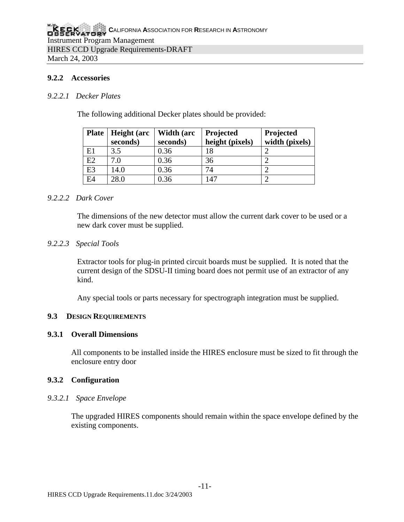#### **9.2.2 Accessories**

#### *9.2.2.1 Decker Plates*

The following additional Decker plates should be provided:

|                | Plate   Height (arc) | Width (arc | Projected       | Projected      |
|----------------|----------------------|------------|-----------------|----------------|
|                | seconds)             | seconds)   | height (pixels) | width (pixels) |
| E1             | 3.5                  | 0.36       | 18              |                |
| E2             | 7.0                  | 0.36       | 36              |                |
| E <sub>3</sub> | 14.0                 | 0.36       | 74              |                |
| E <sub>4</sub> | 28.0                 | 0.36       | 147             |                |

#### *9.2.2.2 Dark Cover*

The dimensions of the new detector must allow the current dark cover to be used or a new dark cover must be supplied.

#### *9.2.2.3 Special Tools*

Extractor tools for plug-in printed circuit boards must be supplied. It is noted that the current design of the SDSU-II timing board does not permit use of an extractor of any kind.

Any special tools or parts necessary for spectrograph integration must be supplied.

#### **9.3 DESIGN REQUIREMENTS**

#### **9.3.1 Overall Dimensions**

All components to be installed inside the HIRES enclosure must be sized to fit through the enclosure entry door

#### **9.3.2 Configuration**

## *9.3.2.1 Space Envelope*

The upgraded HIRES components should remain within the space envelope defined by the existing components.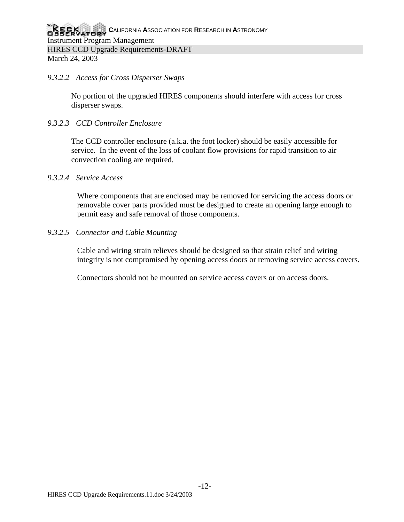## *9.3.2.2 Access for Cross Disperser Swaps*

No portion of the upgraded HIRES components should interfere with access for cross disperser swaps.

#### *9.3.2.3 CCD Controller Enclosure*

The CCD controller enclosure (a.k.a. the foot locker) should be easily accessible for service. In the event of the loss of coolant flow provisions for rapid transition to air convection cooling are required.

## *9.3.2.4 Service Access*

Where components that are enclosed may be removed for servicing the access doors or removable cover parts provided must be designed to create an opening large enough to permit easy and safe removal of those components.

#### *9.3.2.5 Connector and Cable Mounting*

Cable and wiring strain relieves should be designed so that strain relief and wiring integrity is not compromised by opening access doors or removing service access covers.

Connectors should not be mounted on service access covers or on access doors.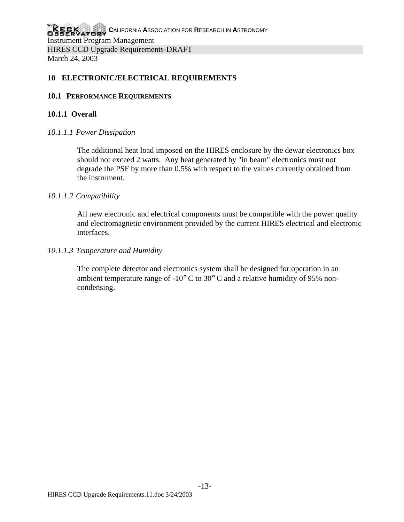# **10 ELECTRONIC/ELECTRICAL REQUIREMENTS**

#### **10.1 PERFORMANCE REQUIREMENTS**

## **10.1.1 Overall**

## *10.1.1.1 Power Dissipation*

The additional heat load imposed on the HIRES enclosure by the dewar electronics box should not exceed 2 watts. Any heat generated by "in beam" electronics must not degrade the PSF by more than 0.5% with respect to the values currently obtained from the instrument.

## *10.1.1.2 Compatibility*

All new electronic and electrical components must be compatible with the power quality and electromagnetic environment provided by the current HIRES electrical and electronic interfaces.

## *10.1.1.3 Temperature and Humidity*

The complete detector and electronics system shall be designed for operation in an ambient temperature range of -10° C to 30° C and a relative humidity of 95% noncondensing.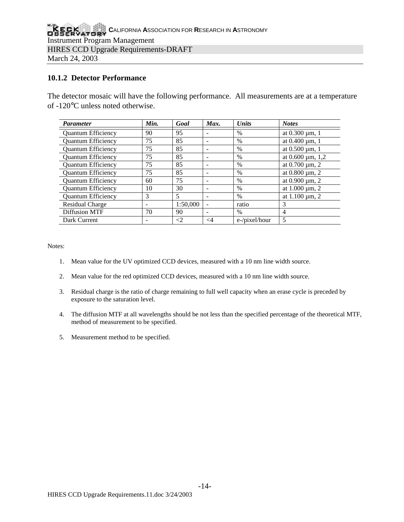## **10.1.2 Detector Performance**

The detector mosaic will have the following performance. All measurements are at a temperature of -120°C unless noted otherwise.

| <b>Parameter</b>          | Min. | Goal     | Max.     | <b>Units</b>  | <b>Notes</b>             |
|---------------------------|------|----------|----------|---------------|--------------------------|
| <b>Quantum Efficiency</b> | 90   | 95       |          | $\frac{0}{0}$ | at 0.300 µm, 1           |
| <b>Ouantum Efficiency</b> | 75   | 85       |          | $\frac{0}{0}$ | at 0.400 µm, 1           |
| <b>Quantum Efficiency</b> | 75   | 85       |          | $\frac{0}{0}$ | at 0.500 µm, 1           |
| <b>Quantum Efficiency</b> | 75   | 85       |          | $\frac{0}{0}$ | at $0.600 \,\mu m$ , 1,2 |
| <b>Quantum Efficiency</b> | 75   | 85       |          | %             | at $0.700 \mu m$ , 2     |
| <b>Quantum Efficiency</b> | 75   | 85       |          | $\%$          | at $0.800 \,\mu m$ , 2   |
| <b>Quantum Efficiency</b> | 60   | 75       |          | %             | at $0.900 \mu m$ , 2     |
| <b>Quantum Efficiency</b> | 10   | 30       |          | $\frac{0}{0}$ | at $1.000 \mu m$ , 2     |
| <b>Quantum Efficiency</b> | 3    | 5        |          | %             | at $1.100 \mu m$ , 2     |
| <b>Residual Charge</b>    |      | 1:50,000 |          | ratio         | 3                        |
| <b>Diffusion MTF</b>      | 70   | 90       |          | $\%$          | 4                        |
| Dark Current              |      | $\leq$ 2 | $\leq$ 4 | e-/pixel/hour | 5                        |

Notes:

- 1. Mean value for the UV optimized CCD devices, measured with a 10 nm line width source.
- 2. Mean value for the red optimized CCD devices, measured with a 10 nm line width source.
- 3. Residual charge is the ratio of charge remaining to full well capacity when an erase cycle is preceded by exposure to the saturation level.
- 4. The diffusion MTF at all wavelengths should be not less than the specified percentage of the theoretical MTF, method of measurement to be specified.
- 5. Measurement method to be specified.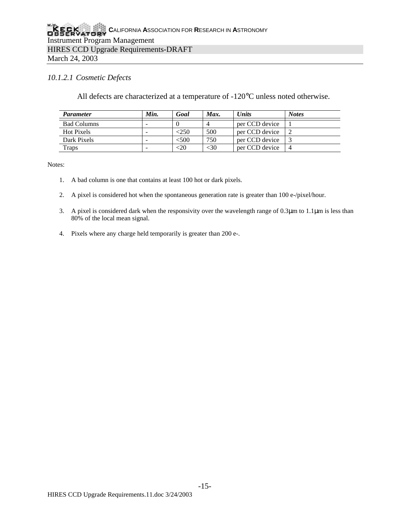# *10.1.2.1 Cosmetic Defects*

All defects are characterized at a temperature of -120°C unless noted otherwise.

| <b>Parameter</b>   | Min. | Goal | Max. | <b>Units</b>   | <b>Notes</b> |
|--------------------|------|------|------|----------------|--------------|
| <b>Bad Columns</b> |      |      |      | per CCD device |              |
| <b>Hot Pixels</b>  |      | <250 | 500  | per CCD device |              |
| Dark Pixels        |      | <500 | 750  | per CCD device |              |
| Traps              |      | <20  | <30  | per CCD device |              |

Notes:

- 1. A bad column is one that contains at least 100 hot or dark pixels.
- 2. A pixel is considered hot when the spontaneous generation rate is greater than 100 e-/pixel/hour.
- 3. A pixel is considered dark when the responsivity over the wavelength range of 0.3μm to 1.1μm is less than 80% of the local mean signal.
- 4. Pixels where any charge held temporarily is greater than 200 e-.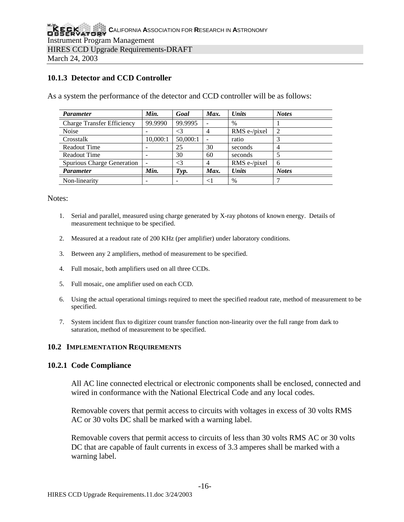# **10.1.3 Detector and CCD Controller**

As a system the performance of the detector and CCD controller will be as follows:

| <b>Parameter</b>                  | Min.     | Goal     | Max.           | <b>Units</b> | <b>Notes</b> |
|-----------------------------------|----------|----------|----------------|--------------|--------------|
| <b>Charge Transfer Efficiency</b> | 99.9990  | 99.9995  |                | $\%$         |              |
| <b>Noise</b>                      |          |          | 4              | RMS e-/pixel | 2            |
| Crosstalk                         | 10,000:1 | 50,000:1 |                | ratio        |              |
| <b>Readout Time</b>               |          | 25       | 30             | seconds      |              |
| <b>Readout Time</b>               |          | 30       | 60             | seconds      |              |
| Spurious Charge Generation        |          | $\leq$ 3 | $\overline{4}$ | RMS e-/pixel | 6            |
| <i>Parameter</i>                  | Min.     | Type.    | Max.           | Units        | <b>Notes</b> |
| Non-linearity                     |          |          | $\leq$         | $\%$         |              |

#### Notes:

- 1. Serial and parallel, measured using charge generated by X-ray photons of known energy. Details of measurement technique to be specified.
- 2. Measured at a readout rate of 200 KHz (per amplifier) under laboratory conditions.
- 3. Between any 2 amplifiers, method of measurement to be specified.
- 4. Full mosaic, both amplifiers used on all three CCDs.
- 5. Full mosaic, one amplifier used on each CCD.
- 6. Using the actual operational timings required to meet the specified readout rate, method of measurement to be specified.
- 7. System incident flux to digitizer count transfer function non-linearity over the full range from dark to saturation, method of measurement to be specified.

#### **10.2 IMPLEMENTATION REQUIREMENTS**

#### **10.2.1 Code Compliance**

All AC line connected electrical or electronic components shall be enclosed, connected and wired in conformance with the National Electrical Code and any local codes.

Removable covers that permit access to circuits with voltages in excess of 30 volts RMS AC or 30 volts DC shall be marked with a warning label.

Removable covers that permit access to circuits of less than 30 volts RMS AC or 30 volts DC that are capable of fault currents in excess of 3.3 amperes shall be marked with a warning label.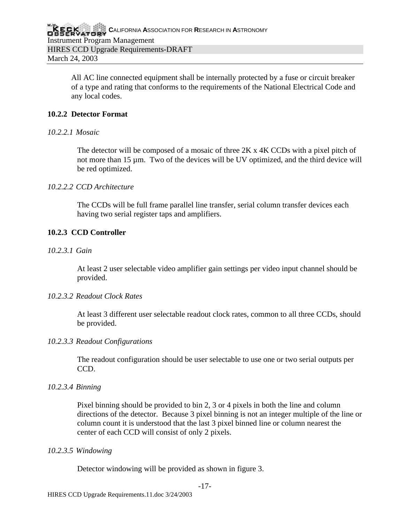All AC line connected equipment shall be internally protected by a fuse or circuit breaker of a type and rating that conforms to the requirements of the National Electrical Code and any local codes.

# **10.2.2 Detector Format**

## *10.2.2.1 Mosaic*

The detector will be composed of a mosaic of three 2K x 4K CCDs with a pixel pitch of not more than 15 µm. Two of the devices will be UV optimized, and the third device will be red optimized.

## *10.2.2.2 CCD Architecture*

The CCDs will be full frame parallel line transfer, serial column transfer devices each having two serial register taps and amplifiers.

# **10.2.3 CCD Controller**

## *10.2.3.1 Gain*

At least 2 user selectable video amplifier gain settings per video input channel should be provided.

## *10.2.3.2 Readout Clock Rates*

At least 3 different user selectable readout clock rates, common to all three CCDs, should be provided.

## *10.2.3.3 Readout Configurations*

The readout configuration should be user selectable to use one or two serial outputs per CCD.

## *10.2.3.4 Binning*

Pixel binning should be provided to bin 2, 3 or 4 pixels in both the line and column directions of the detector. Because 3 pixel binning is not an integer multiple of the line or column count it is understood that the last 3 pixel binned line or column nearest the center of each CCD will consist of only 2 pixels.

## *10.2.3.5 Windowing*

Detector windowing will be provided as shown in figure 3.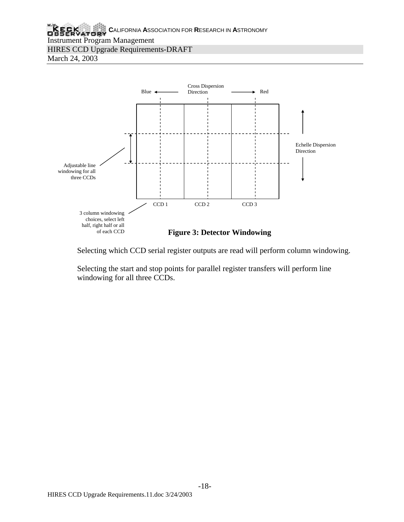# **CALIFORNIA ASSOCIATION FOR RESEARCH IN ASTRONOMY** Instrument Program Management HIRES CCD Upgrade Requirements-DRAFT March 24, 2003



Selecting which CCD serial register outputs are read will perform column windowing.

Selecting the start and stop points for parallel register transfers will perform line windowing for all three CCDs.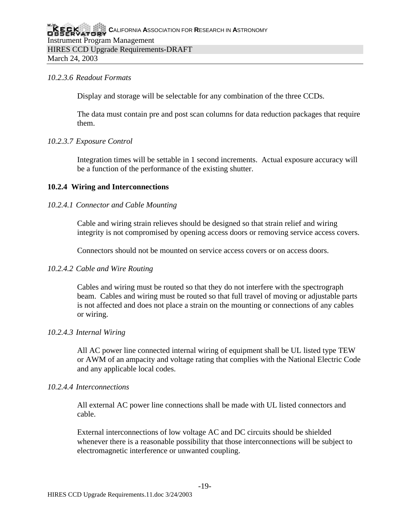## *10.2.3.6 Readout Formats*

Display and storage will be selectable for any combination of the three CCDs.

The data must contain pre and post scan columns for data reduction packages that require them.

#### *10.2.3.7 Exposure Control*

Integration times will be settable in 1 second increments. Actual exposure accuracy will be a function of the performance of the existing shutter.

#### **10.2.4 Wiring and Interconnections**

#### *10.2.4.1 Connector and Cable Mounting*

Cable and wiring strain relieves should be designed so that strain relief and wiring integrity is not compromised by opening access doors or removing service access covers.

Connectors should not be mounted on service access covers or on access doors.

## *10.2.4.2 Cable and Wire Routing*

Cables and wiring must be routed so that they do not interfere with the spectrograph beam. Cables and wiring must be routed so that full travel of moving or adjustable parts is not affected and does not place a strain on the mounting or connections of any cables or wiring.

#### *10.2.4.3 Internal Wiring*

All AC power line connected internal wiring of equipment shall be UL listed type TEW or AWM of an ampacity and voltage rating that complies with the National Electric Code and any applicable local codes.

#### *10.2.4.4 Interconnections*

All external AC power line connections shall be made with UL listed connectors and cable.

External interconnections of low voltage AC and DC circuits should be shielded whenever there is a reasonable possibility that those interconnections will be subject to electromagnetic interference or unwanted coupling.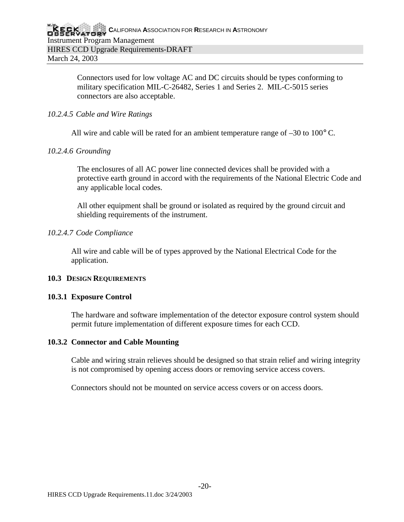Connectors used for low voltage AC and DC circuits should be types conforming to military specification MIL-C-26482, Series 1 and Series 2. MIL-C-5015 series connectors are also acceptable.

## *10.2.4.5 Cable and Wire Ratings*

All wire and cable will be rated for an ambient temperature range of –30 to 100° C.

# *10.2.4.6 Grounding*

The enclosures of all AC power line connected devices shall be provided with a protective earth ground in accord with the requirements of the National Electric Code and any applicable local codes.

All other equipment shall be ground or isolated as required by the ground circuit and shielding requirements of the instrument.

# *10.2.4.7 Code Compliance*

All wire and cable will be of types approved by the National Electrical Code for the application.

## **10.3 DESIGN REQUIREMENTS**

## **10.3.1 Exposure Control**

The hardware and software implementation of the detector exposure control system should permit future implementation of different exposure times for each CCD.

## **10.3.2 Connector and Cable Mounting**

Cable and wiring strain relieves should be designed so that strain relief and wiring integrity is not compromised by opening access doors or removing service access covers.

Connectors should not be mounted on service access covers or on access doors.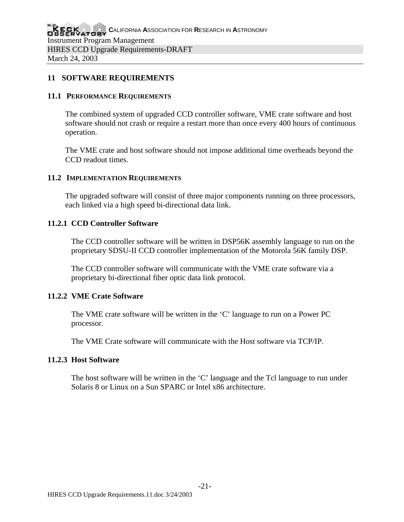# **11 SOFTWARE REQUIREMENTS**

#### **11.1 PERFORMANCE REQUIREMENTS**

The combined system of upgraded CCD controller software, VME crate software and host software should not crash or require a restart more than once every 400 hours of continuous operation.

The VME crate and host software should not impose additional time overheads beyond the CCD readout times.

#### **11.2 IMPLEMENTATION REQUIREMENTS**

The upgraded software will consist of three major components running on three processors, each linked via a high speed bi-directional data link.

#### **11.2.1 CCD Controller Software**

The CCD controller software will be written in DSP56K assembly language to run on the proprietary SDSU-II CCD controller implementation of the Motorola 56K family DSP.

The CCD controller software will communicate with the VME crate software via a proprietary bi-directional fiber optic data link protocol.

## **11.2.2 VME Crate Software**

The VME crate software will be written in the 'C' language to run on a Power PC processor.

The VME Crate software will communicate with the Host software via TCP/IP.

#### **11.2.3 Host Software**

The host software will be written in the 'C' language and the Tcl language to run under Solaris 8 or Linux on a Sun SPARC or Intel x86 architecture.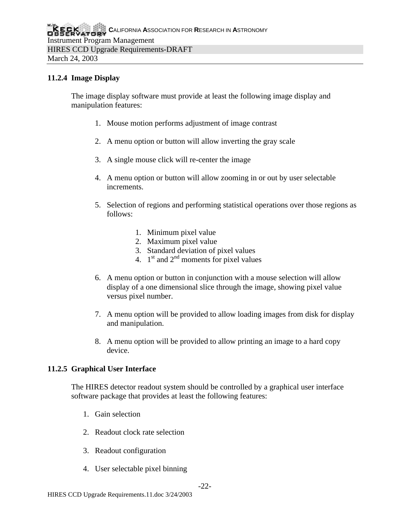## **11.2.4 Image Display**

The image display software must provide at least the following image display and manipulation features:

- 1. Mouse motion performs adjustment of image contrast
- 2. A menu option or button will allow inverting the gray scale
- 3. A single mouse click will re-center the image
- 4. A menu option or button will allow zooming in or out by user selectable increments.
- 5. Selection of regions and performing statistical operations over those regions as follows:
	- 1. Minimum pixel value
	- 2. Maximum pixel value
	- 3. Standard deviation of pixel values
	- 4.  $1<sup>st</sup>$  and  $2<sup>nd</sup>$  moments for pixel values
- 6. A menu option or button in conjunction with a mouse selection will allow display of a one dimensional slice through the image, showing pixel value versus pixel number.
- 7. A menu option will be provided to allow loading images from disk for display and manipulation.
- 8. A menu option will be provided to allow printing an image to a hard copy device.

## **11.2.5 Graphical User Interface**

The HIRES detector readout system should be controlled by a graphical user interface software package that provides at least the following features:

- 1. Gain selection
- 2. Readout clock rate selection
- 3. Readout configuration
- 4. User selectable pixel binning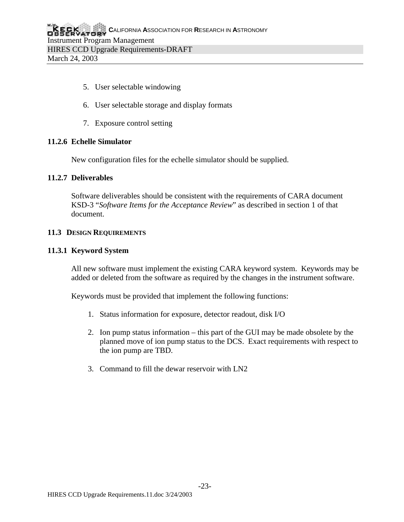- 5. User selectable windowing
- 6. User selectable storage and display formats
- 7. Exposure control setting

## **11.2.6 Echelle Simulator**

New configuration files for the echelle simulator should be supplied.

## **11.2.7 Deliverables**

Software deliverables should be consistent with the requirements of CARA document KSD-3 "*Software Items for the Acceptance Review*" as described in section 1 of that document.

## **11.3 DESIGN REQUIREMENTS**

## **11.3.1 Keyword System**

All new software must implement the existing CARA keyword system. Keywords may be added or deleted from the software as required by the changes in the instrument software.

Keywords must be provided that implement the following functions:

- 1. Status information for exposure, detector readout, disk I/O
- 2. Ion pump status information this part of the GUI may be made obsolete by the planned move of ion pump status to the DCS. Exact requirements with respect to the ion pump are TBD.
- 3. Command to fill the dewar reservoir with LN2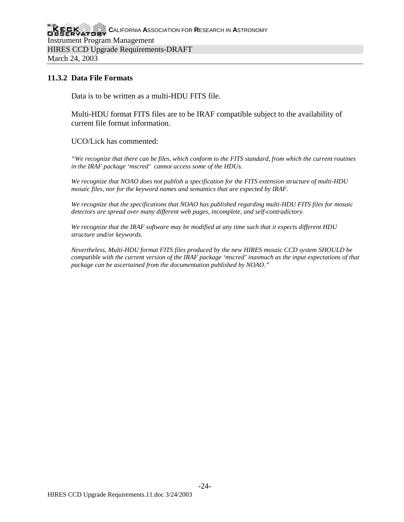#### **11.3.2 Data File Formats**

Data is to be written as a multi-HDU FITS file.

Multi-HDU format FITS files are to be IRAF compatible subject to the availability of current file format information.

UCO/Lick has commented:

*"We recognize that there can be files, which conform to the FITS standard, from which the current routines in the IRAF package 'mscred' cannot access some of the HDUs.*

*We recognize that NOAO does not publish a specification for the FITS extension structure of multi-HDU mosaic files, nor for the keyword names and semantics that are expected by IRAF.*

*We recognize that the specifications that NOAO has published regarding multi-HDU FITS files for mosaic detectors are spread over many different web pages, incomplete, and self-contradictory.* 

*We recognize that the IRAF software may be modified at any time such that it expects different HDU structure and/or keywords.*

*Nevertheless, Multi-HDU format FITS files produced by the new HIRES mosaic CCD system SHOULD be compatible with the current version of the IRAF package 'mscred' inasmuch as the input expectations of that package can be ascertained from the documentation published by NOAO."*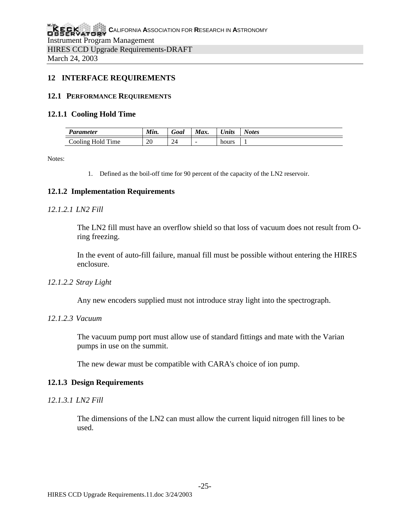# **12 INTERFACE REQUIREMENTS**

#### **12.1 PERFORMANCE REQUIREMENTS**

#### **12.1.1 Cooling Hold Time**

| 'arameter                | Min.     | ⌒<br>50al         | -<br>Max. | $\mathbf{v}$<br>. .<br>Units | Notes |
|--------------------------|----------|-------------------|-----------|------------------------------|-------|
| - hloi<br>Cooling<br>ime | ററ<br>ZU | $2^{\circ}$<br>∠⊤ | -         | hours                        | . .   |

Notes:

1. Defined as the boil-off time for 90 percent of the capacity of the LN2 reservoir.

#### **12.1.2 Implementation Requirements**

#### *12.1.2.1 LN2 Fill*

The LN2 fill must have an overflow shield so that loss of vacuum does not result from Oring freezing.

In the event of auto-fill failure, manual fill must be possible without entering the HIRES enclosure.

#### *12.1.2.2 Stray Light*

Any new encoders supplied must not introduce stray light into the spectrograph.

#### *12.1.2.3 Vacuum*

The vacuum pump port must allow use of standard fittings and mate with the Varian pumps in use on the summit.

The new dewar must be compatible with CARA's choice of ion pump.

#### **12.1.3 Design Requirements**

#### *12.1.3.1 LN2 Fill*

The dimensions of the LN2 can must allow the current liquid nitrogen fill lines to be used.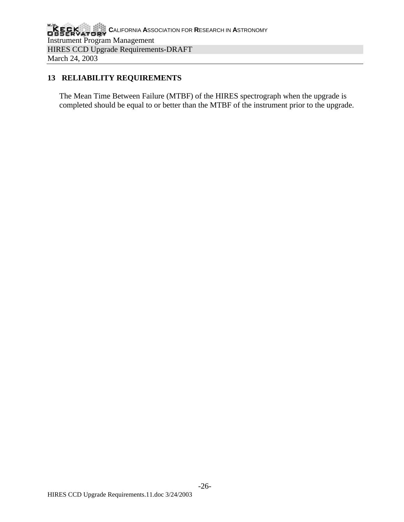# **13 RELIABILITY REQUIREMENTS**

The Mean Time Between Failure (MTBF) of the HIRES spectrograph when the upgrade is completed should be equal to or better than the MTBF of the instrument prior to the upgrade.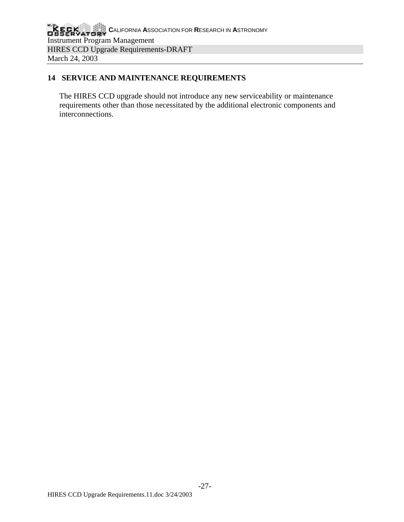# **14 SERVICE AND MAINTENANCE REQUIREMENTS**

The HIRES CCD upgrade should not introduce any new serviceability or maintenance requirements other than those necessitated by the additional electronic components and interconnections.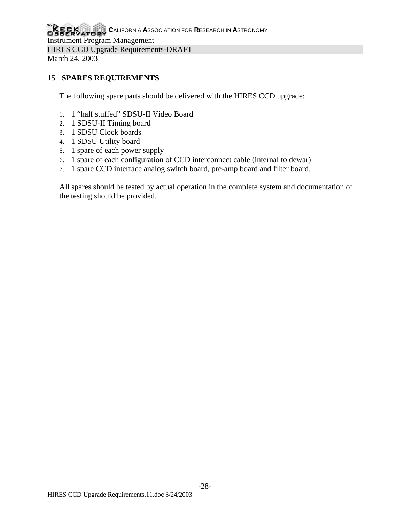# **15 SPARES REQUIREMENTS**

The following spare parts should be delivered with the HIRES CCD upgrade:

- 1. 1 "half stuffed" SDSU-II Video Board
- 2. 1 SDSU-II Timing board
- 3. 1 SDSU Clock boards
- 4. 1 SDSU Utility board
- 5. 1 spare of each power supply
- 6. 1 spare of each configuration of CCD interconnect cable (internal to dewar)
- 7. 1 spare CCD interface analog switch board, pre-amp board and filter board.

All spares should be tested by actual operation in the complete system and documentation of the testing should be provided.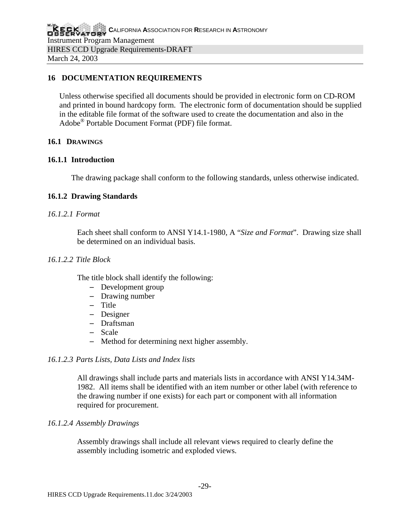# **16 DOCUMENTATION REQUIREMENTS**

Unless otherwise specified all documents should be provided in electronic form on CD-ROM and printed in bound hardcopy form. The electronic form of documentation should be supplied in the editable file format of the software used to create the documentation and also in the Adobe® Portable Document Format (PDF) file format.

## **16.1 DRAWINGS**

## **16.1.1 Introduction**

The drawing package shall conform to the following standards, unless otherwise indicated.

## **16.1.2 Drawing Standards**

## *16.1.2.1 Format*

Each sheet shall conform to ANSI Y14.1-1980, A "*Size and Format*". Drawing size shall be determined on an individual basis.

#### *16.1.2.2 Title Block*

The title block shall identify the following:

- − Development group
- − Drawing number
- − Title
- − Designer
- − Draftsman
- − Scale
- − Method for determining next higher assembly.

## *16.1.2.3 Parts Lists, Data Lists and Index lists*

All drawings shall include parts and materials lists in accordance with ANSI Y14.34M-1982. All items shall be identified with an item number or other label (with reference to the drawing number if one exists) for each part or component with all information required for procurement.

## *16.1.2.4 Assembly Drawings*

Assembly drawings shall include all relevant views required to clearly define the assembly including isometric and exploded views.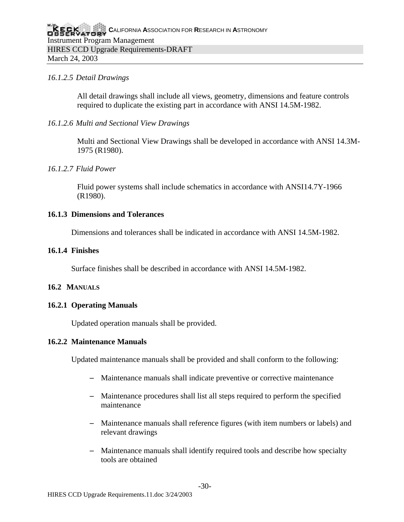## *16.1.2.5 Detail Drawings*

All detail drawings shall include all views, geometry, dimensions and feature controls required to duplicate the existing part in accordance with ANSI 14.5M-1982.

*16.1.2.6 Multi and Sectional View Drawings*

Multi and Sectional View Drawings shall be developed in accordance with ANSI 14.3M-1975 (R1980).

# *16.1.2.7 Fluid Power*

Fluid power systems shall include schematics in accordance with ANSI14.7Y-1966 (R1980).

## **16.1.3 Dimensions and Tolerances**

Dimensions and tolerances shall be indicated in accordance with ANSI 14.5M-1982.

## **16.1.4 Finishes**

Surface finishes shall be described in accordance with ANSI 14.5M-1982.

# **16.2 MANUALS**

## **16.2.1 Operating Manuals**

Updated operation manuals shall be provided.

## **16.2.2 Maintenance Manuals**

Updated maintenance manuals shall be provided and shall conform to the following:

- − Maintenance manuals shall indicate preventive or corrective maintenance
- − Maintenance procedures shall list all steps required to perform the specified maintenance
- − Maintenance manuals shall reference figures (with item numbers or labels) and relevant drawings
- − Maintenance manuals shall identify required tools and describe how specialty tools are obtained